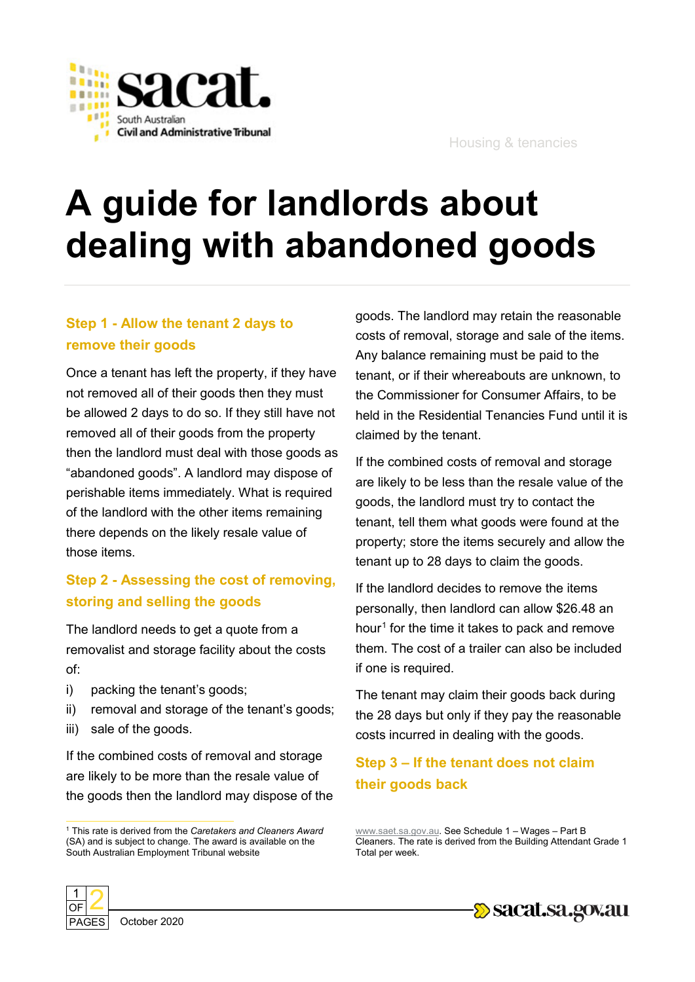

# **A guide for landlords about dealing with abandoned goods**

#### **Step 1 - Allow the tenant 2 days to remove their goods**

Once a tenant has left the property, if they have not removed all of their goods then they must be allowed 2 days to do so. If they still have not removed all of their goods from the property then the landlord must deal with those goods as "abandoned goods". A landlord may dispose of perishable items immediately. What is required of the landlord with the other items remaining there depends on the likely resale value of those items.

### **Step 2 - Assessing the cost of removing, storing and selling the goods**

The landlord needs to get a quote from a removalist and storage facility about the costs of:

- i) packing the tenant's goods;
- ii) removal and storage of the tenant's goods;
- iii) sale of the goods.

If the combined costs of removal and storage are likely to be more than the resale value of the goods then the landlord may dispose of the goods. The landlord may retain the reasonable costs of removal, storage and sale of the items. Any balance remaining must be paid to the tenant, or if their whereabouts are unknown, to the Commissioner for Consumer Affairs, to be held in the Residential Tenancies Fund until it is claimed by the tenant.

If the combined costs of removal and storage are likely to be less than the resale value of the goods, the landlord must try to contact the tenant, tell them what goods were found at the property; store the items securely and allow the tenant up to 28 days to claim the goods.

If the landlord decides to remove the items personally, then landlord can allow \$26.48 an hour<sup>[1](#page-0-0)</sup> for the time it takes to pack and remove them. The cost of a trailer can also be included if one is required.

The tenant may claim their goods back during the 28 days but only if they pay the reasonable costs incurred in dealing with the goods.

## **Step 3 – If the tenant does not claim their goods back**





<span id="page-0-0"></span> <sup>1</sup> This rate is derived from the *Caretakers and Cleaners Award*  (SA) and is subject to change. The award is available on the South Australian Employment Tribunal website

[www.saet.sa.gov.au.](http://www.saet.sa.gov.au/) See Schedule 1 – Wages – Part B Cleaners. The rate is derived from the Building Attendant Grade 1 Total per week.